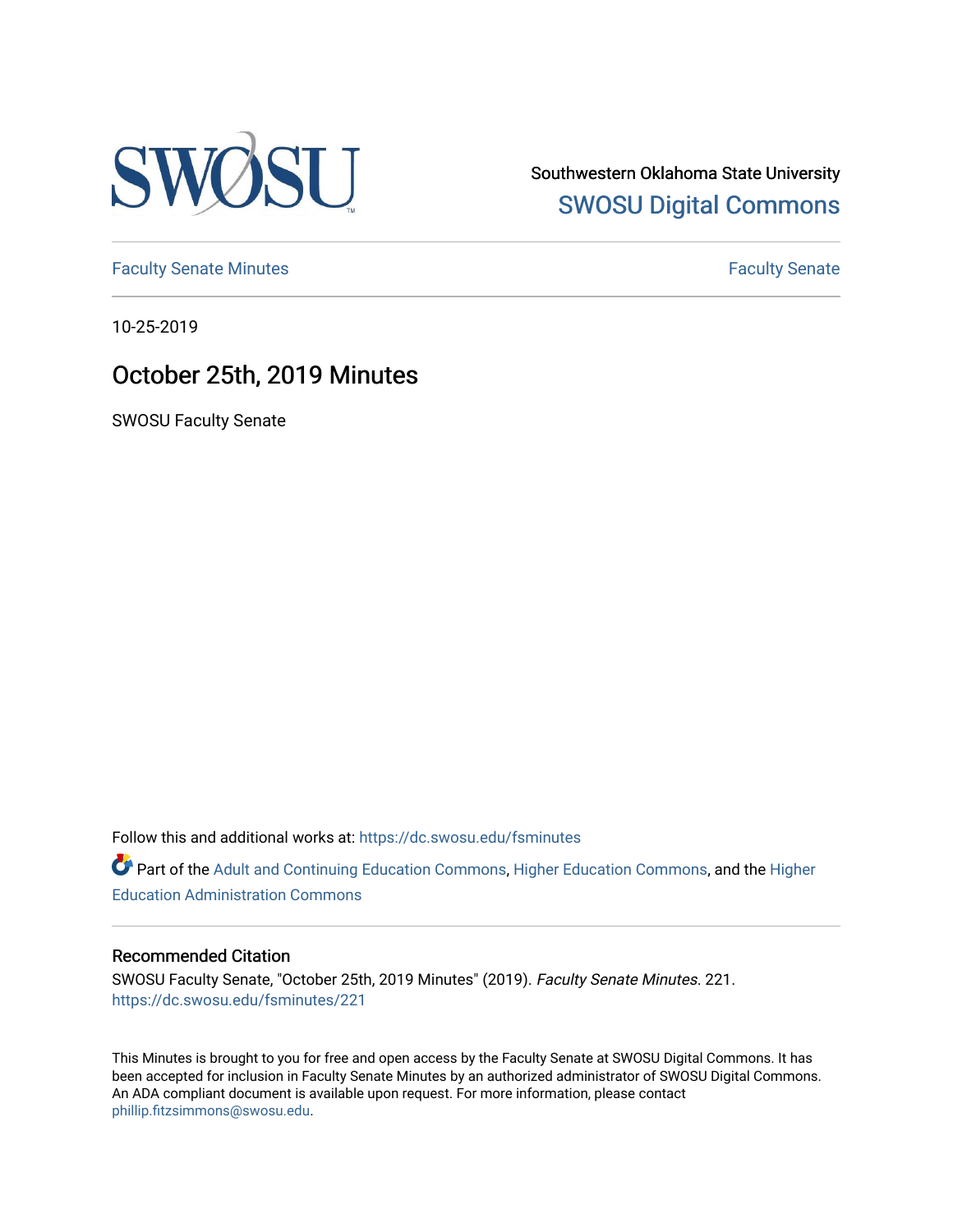

Southwestern Oklahoma State University [SWOSU Digital Commons](https://dc.swosu.edu/) 

[Faculty Senate Minutes](https://dc.swosu.edu/fsminutes) **Faculty** Senate Minutes

10-25-2019

## October 25th, 2019 Minutes

SWOSU Faculty Senate

Follow this and additional works at: [https://dc.swosu.edu/fsminutes](https://dc.swosu.edu/fsminutes?utm_source=dc.swosu.edu%2Ffsminutes%2F221&utm_medium=PDF&utm_campaign=PDFCoverPages) 

Part of the [Adult and Continuing Education Commons,](http://network.bepress.com/hgg/discipline/1375?utm_source=dc.swosu.edu%2Ffsminutes%2F221&utm_medium=PDF&utm_campaign=PDFCoverPages) [Higher Education Commons,](http://network.bepress.com/hgg/discipline/1245?utm_source=dc.swosu.edu%2Ffsminutes%2F221&utm_medium=PDF&utm_campaign=PDFCoverPages) and the [Higher](http://network.bepress.com/hgg/discipline/791?utm_source=dc.swosu.edu%2Ffsminutes%2F221&utm_medium=PDF&utm_campaign=PDFCoverPages) [Education Administration Commons](http://network.bepress.com/hgg/discipline/791?utm_source=dc.swosu.edu%2Ffsminutes%2F221&utm_medium=PDF&utm_campaign=PDFCoverPages) 

#### Recommended Citation

SWOSU Faculty Senate, "October 25th, 2019 Minutes" (2019). Faculty Senate Minutes. 221. [https://dc.swosu.edu/fsminutes/221](https://dc.swosu.edu/fsminutes/221?utm_source=dc.swosu.edu%2Ffsminutes%2F221&utm_medium=PDF&utm_campaign=PDFCoverPages) 

This Minutes is brought to you for free and open access by the Faculty Senate at SWOSU Digital Commons. It has been accepted for inclusion in Faculty Senate Minutes by an authorized administrator of SWOSU Digital Commons. An ADA compliant document is available upon request. For more information, please contact [phillip.fitzsimmons@swosu.edu](mailto:phillip.fitzsimmons@swosu.edu).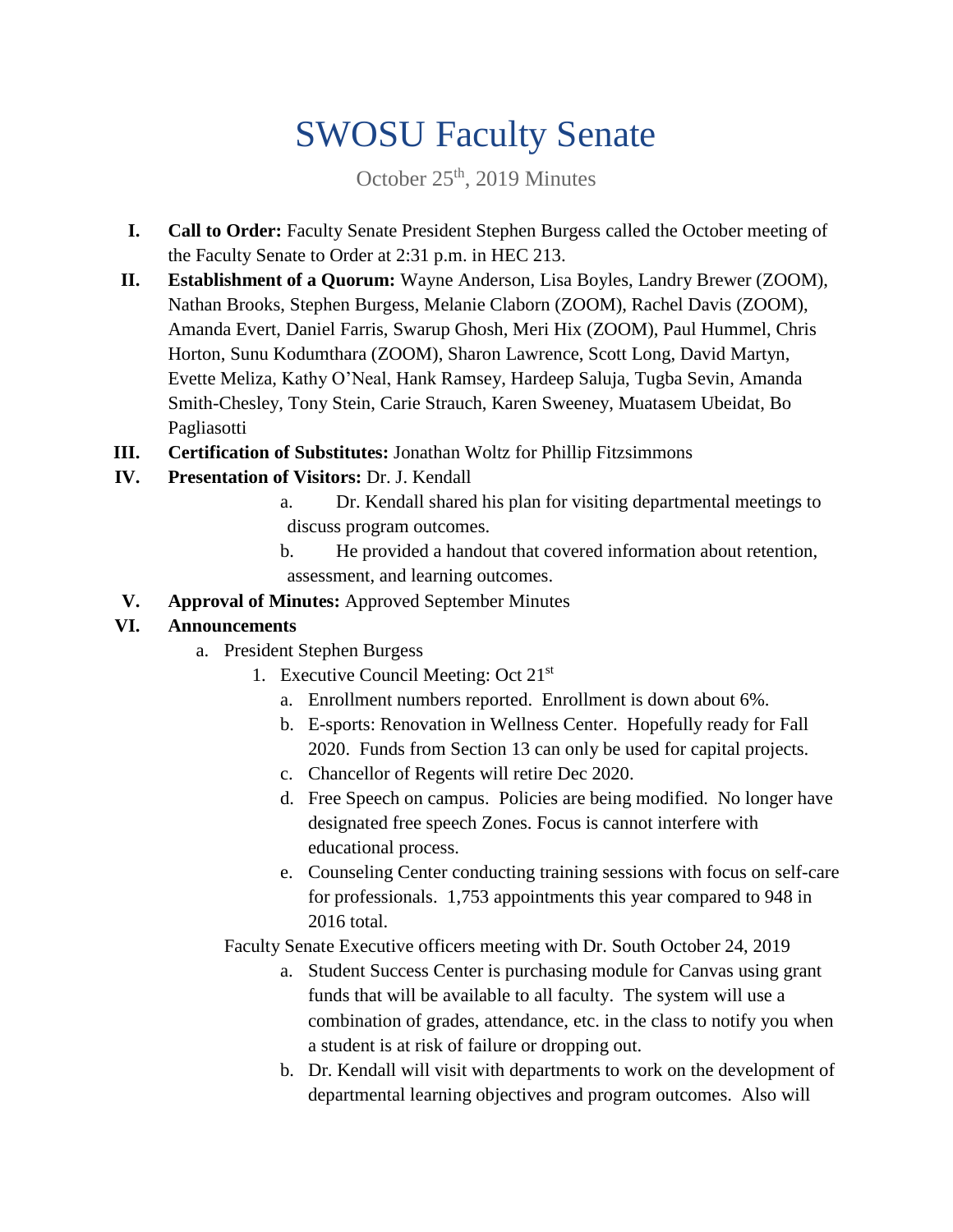# SWOSU Faculty Senate

October 25<sup>th</sup>, 2019 Minutes

- **I. Call to Order:** Faculty Senate President Stephen Burgess called the October meeting of the Faculty Senate to Order at 2:31 p.m. in HEC 213.
- **II. Establishment of a Quorum:** Wayne Anderson, Lisa Boyles, Landry Brewer (ZOOM), Nathan Brooks, Stephen Burgess, Melanie Claborn (ZOOM), Rachel Davis (ZOOM), Amanda Evert, Daniel Farris, Swarup Ghosh, Meri Hix (ZOOM), Paul Hummel, Chris Horton, Sunu Kodumthara (ZOOM), Sharon Lawrence, Scott Long, David Martyn, Evette Meliza, Kathy O'Neal, Hank Ramsey, Hardeep Saluja, Tugba Sevin, Amanda Smith-Chesley, Tony Stein, Carie Strauch, Karen Sweeney, Muatasem Ubeidat, Bo Pagliasotti
- **III. Certification of Substitutes:** Jonathan Woltz for Phillip Fitzsimmons
- **IV. Presentation of Visitors:** Dr. J. Kendall
	- a. Dr. Kendall shared his plan for visiting departmental meetings to discuss program outcomes.
	- b. He provided a handout that covered information about retention, assessment, and learning outcomes.
- **V. Approval of Minutes:** Approved September Minutes

### **VI. Announcements**

- a. President Stephen Burgess
	- 1. Executive Council Meeting: Oct 21<sup>st</sup>
		- a. Enrollment numbers reported. Enrollment is down about 6%.
		- b. E-sports: Renovation in Wellness Center. Hopefully ready for Fall 2020. Funds from Section 13 can only be used for capital projects.
		- c. Chancellor of Regents will retire Dec 2020.
		- d. Free Speech on campus. Policies are being modified. No longer have designated free speech Zones. Focus is cannot interfere with educational process.
		- e. Counseling Center conducting training sessions with focus on self-care for professionals. 1,753 appointments this year compared to 948 in 2016 total.

Faculty Senate Executive officers meeting with Dr. South October 24, 2019

- a. Student Success Center is purchasing module for Canvas using grant funds that will be available to all faculty. The system will use a combination of grades, attendance, etc. in the class to notify you when a student is at risk of failure or dropping out.
- b. Dr. Kendall will visit with departments to work on the development of departmental learning objectives and program outcomes. Also will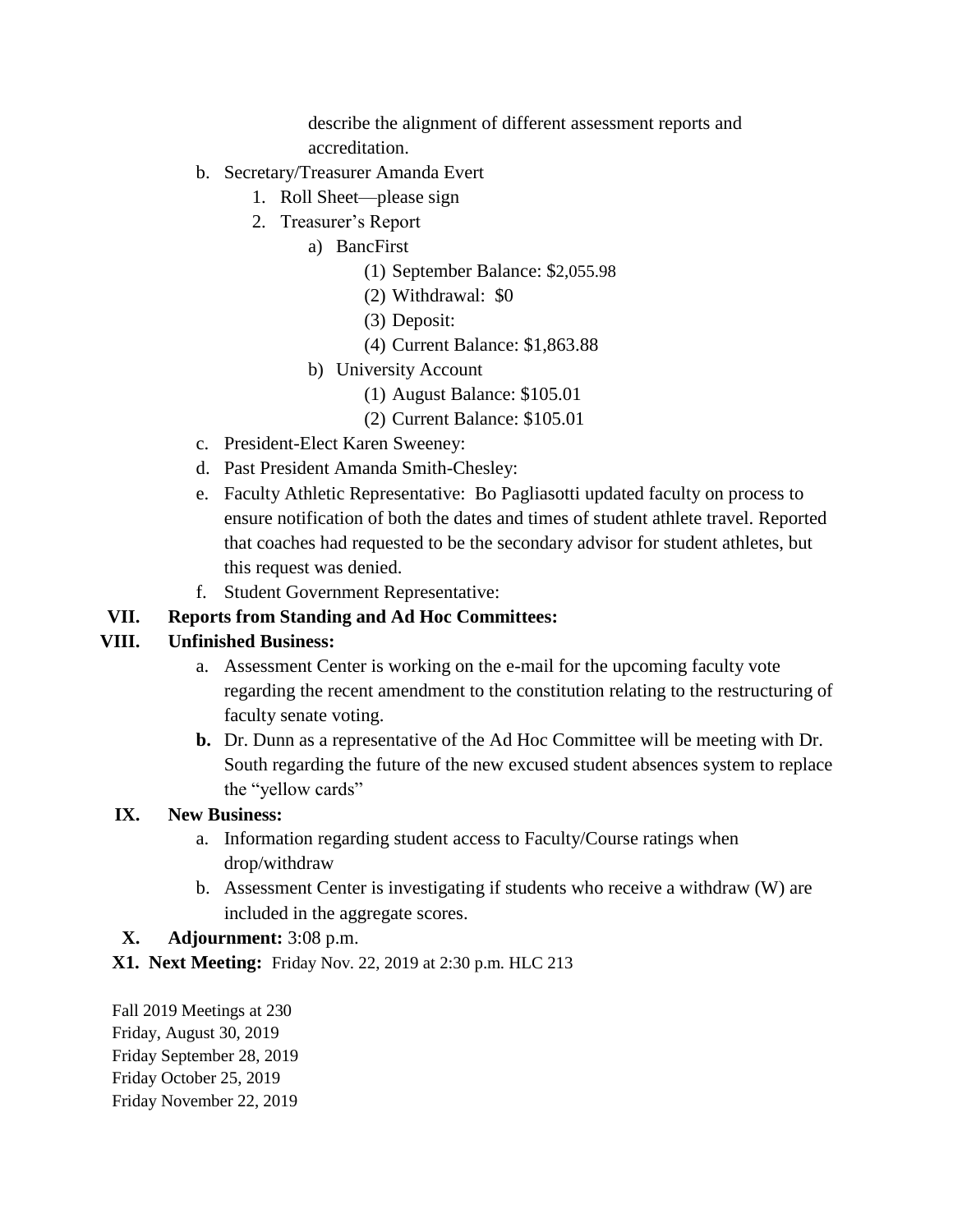describe the alignment of different assessment reports and accreditation.

- b. Secretary/Treasurer Amanda Evert
	- 1. Roll Sheet—please sign
	- 2. Treasurer's Report
		- a) BancFirst
			- (1) September Balance: \$2,055.98
			- (2) Withdrawal: \$0
			- (3) Deposit:
			- (4) Current Balance: \$1,863.88
			- b) University Account
				- (1) August Balance: \$105.01
				- (2) Current Balance: \$105.01
- c. President-Elect Karen Sweeney:
- d. Past President Amanda Smith-Chesley:
- e. Faculty Athletic Representative: Bo Pagliasotti updated faculty on process to ensure notification of both the dates and times of student athlete travel. Reported that coaches had requested to be the secondary advisor for student athletes, but this request was denied.
- f. Student Government Representative:

#### **VII. Reports from Standing and Ad Hoc Committees:**

#### **VIII. Unfinished Business:**

- a. Assessment Center is working on the e-mail for the upcoming faculty vote regarding the recent amendment to the constitution relating to the restructuring of faculty senate voting.
- **b.** Dr. Dunn as a representative of the Ad Hoc Committee will be meeting with Dr. South regarding the future of the new excused student absences system to replace the "yellow cards"

#### **IX. New Business:**

- a. Information regarding student access to Faculty/Course ratings when drop/withdraw
- b. Assessment Center is investigating if students who receive a withdraw (W) are included in the aggregate scores.
- **X. Adjournment:** 3:08 p.m.
- **X1. Next Meeting:** Friday Nov. 22, 2019 at 2:30 p.m. HLC 213

Fall 2019 Meetings at 230 Friday, August 30, 2019 Friday September 28, 2019 Friday October 25, 2019 Friday November 22, 2019